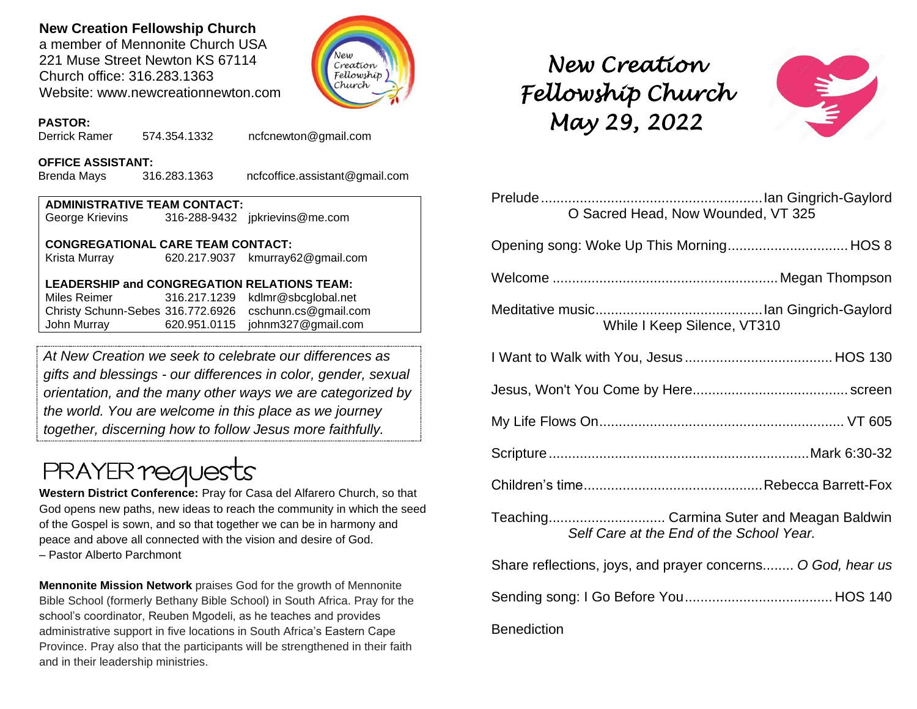### **New Creation Fellowship Church**

a member of Mennonite Church USA 221 Muse Street Newton KS 67114 Church office: 316.283.1363 Website: www.newcreationnewton.com



### **PASTOR:**

Derrick Ramer 574.354.1332 [ncfcnewton@gmail.com](mailto:ncfcnewton@gmail.com)

#### **OFFICE ASSISTANT:**

Brenda Mays 316.283.1363 ncfcoffice.assistant@gmail.com

| <b>ADMINISTRATIVE TEAM CONTACT:</b> |  |                                |  |  |  |
|-------------------------------------|--|--------------------------------|--|--|--|
| George Krievins                     |  | 316-288-9432 jpkrievins@me.com |  |  |  |

### **CONGREGATIONAL CARE TEAM CONTACT:**

Krista Murray 620.217.9037 [kmurray62@gmail.com](mailto:kmurray62@gmail.com)

### **LEADERSHIP and CONGREGATION RELATIONS TEAM:**

Miles Reimer [316.217.1239](mailto:316.217.1239) kdlmr@sbcglobal.net Christy Schunn-Sebes 316.772.6926 cschunn.cs@gmail.com John Murray 620.951.0115 johnm327@gmail.com

*At New Creation we seek to celebrate our differences as gifts and blessings - our differences in color, gender, sexual orientation, and the many other ways we are categorized by the world. You are welcome in this place as we journey together, discerning how to follow Jesus more faithfully.*

# **PRAYER reques**

**Western District Conference:** Pray for Casa del Alfarero Church, so that God opens new paths, new ideas to reach the community in which the seed of the Gospel is sown, and so that together we can be in harmony and peace and above all connected with the vision and desire of God. – Pastor Alberto Parchmont

**Mennonite Mission Network** praises God for the growth of Mennonite Bible School (formerly Bethany Bible School) in South Africa. Pray for the school's coordinator, Reuben Mgodeli, as he teaches and provides administrative support in five locations in South Africa's Eastern Cape Province. Pray also that the participants will be strengthened in their faith and in their leadership ministries.

# *New Creation Fellowship Church May 29, 2022*



| O Sacred Head, Now Wounded, VT 325                                                    |  |  |  |  |
|---------------------------------------------------------------------------------------|--|--|--|--|
| Opening song: Woke Up This Morning HOS 8                                              |  |  |  |  |
|                                                                                       |  |  |  |  |
| While I Keep Silence, VT310                                                           |  |  |  |  |
|                                                                                       |  |  |  |  |
|                                                                                       |  |  |  |  |
|                                                                                       |  |  |  |  |
|                                                                                       |  |  |  |  |
|                                                                                       |  |  |  |  |
| Teaching Carmina Suter and Meagan Baldwin<br>Self Care at the End of the School Year. |  |  |  |  |
| Share reflections, joys, and prayer concerns O God, hear us                           |  |  |  |  |
|                                                                                       |  |  |  |  |
|                                                                                       |  |  |  |  |

### Benediction